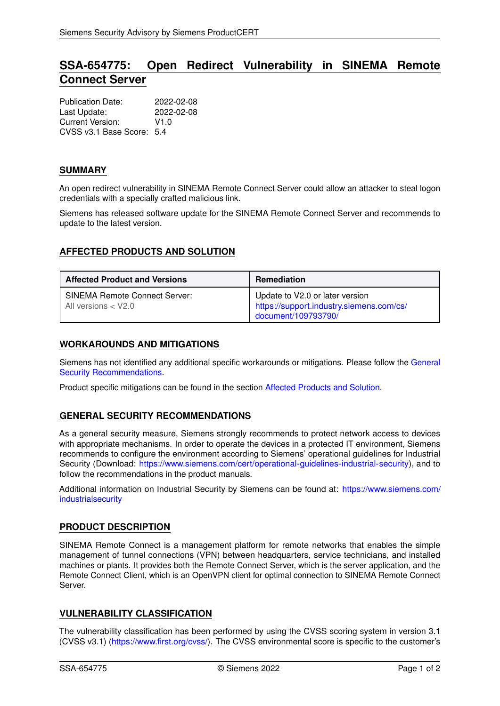# **SSA-654775: Open Redirect Vulnerability in SINEMA Remote Connect Server**

| <b>Publication Date:</b>  | 2022-02-08 |
|---------------------------|------------|
| Last Update:              | 2022-02-08 |
| Current Version:          | V1.0       |
| CVSS v3.1 Base Score: 5.4 |            |

#### **SUMMARY**

An open redirect vulnerability in SINEMA Remote Connect Server could allow an attacker to steal logon credentials with a specially crafted malicious link.

Siemens has released software update for the SINEMA Remote Connect Server and recommends to update to the latest version.

## <span id="page-0-1"></span>**AFFECTED PRODUCTS AND SOLUTION**

| <b>Affected Product and Versions</b>                          | <b>Remediation</b>                                                                                 |
|---------------------------------------------------------------|----------------------------------------------------------------------------------------------------|
| <b>SINEMA Remote Connect Server:</b><br>All versions $<$ V2.0 | Update to V2.0 or later version<br>https://support.industry.siemens.com/cs/<br>document/109793790/ |

#### **WORKAROUNDS AND MITIGATIONS**

Siemens has not identified any additional specific workarounds or mitigations. Please follow the [General](#page-0-0) [Security Recommendations.](#page-0-0)

<span id="page-0-0"></span>Product specific mitigations can be found in the section [Affected Products and Solution.](#page-0-1)

## **GENERAL SECURITY RECOMMENDATIONS**

As a general security measure, Siemens strongly recommends to protect network access to devices with appropriate mechanisms. In order to operate the devices in a protected IT environment, Siemens recommends to configure the environment according to Siemens' operational guidelines for Industrial Security (Download: [https://www.siemens.com/cert/operational-guidelines-industrial-security\)](https://www.siemens.com/cert/operational-guidelines-industrial-security), and to follow the recommendations in the product manuals.

Additional information on Industrial Security by Siemens can be found at: [https://www.siemens.com/](https://www.siemens.com/industrialsecurity) [industrialsecurity](https://www.siemens.com/industrialsecurity)

## **PRODUCT DESCRIPTION**

SINEMA Remote Connect is a management platform for remote networks that enables the simple management of tunnel connections (VPN) between headquarters, service technicians, and installed machines or plants. It provides both the Remote Connect Server, which is the server application, and the Remote Connect Client, which is an OpenVPN client for optimal connection to SINEMA Remote Connect Server.

## **VULNERABILITY CLASSIFICATION**

The vulnerability classification has been performed by using the CVSS scoring system in version 3.1 (CVSS v3.1) [\(https://www.first.org/cvss/\)](https://www.first.org/cvss/). The CVSS environmental score is specific to the customer's